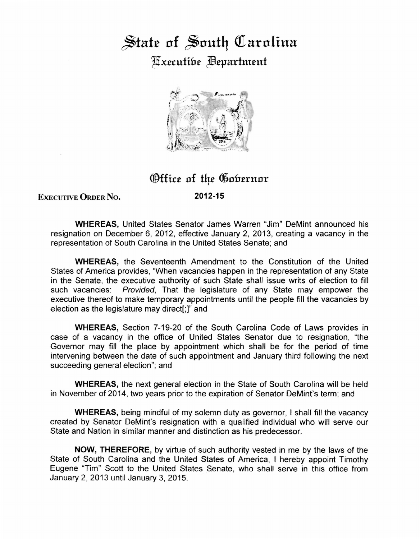## ~tat£ **of** ~out4 **Oia:rolina**  ~xecuti&e ~epnrtment



## Office of the Gobernor

## EXEcUTIVE ORDER No.

**2012-15** 

**WHEREAS,** United States Senator James Warren "Jim" DeMint announced his resignation on December 6, 2012, effective January 2, 2013, creating a vacancy in the representation of South Carolina in the United States Senate; and

**WHEREAS,** the Seventeenth Amendment to the Constitution of the United States of America provides, "When vacancies happen in the representation of any State in the Senate, the executive authority of such State shall issue writs of election to fill such vacancies: Provided, That the legislature of any State may empower the executive thereof to make temporary appointments until the people fill the vacancies by election as the legislature may direct[;]" and

**WHEREAS,** Section 7-19-20 of the South Carolina Code of Laws provides in case of a vacancy in the office of United States Senator due to resignation, "the Governor may fill the place by appointment which shall be for the period of time intervening between the date of such appointment and January third following the next succeeding general election"; and

**WHEREAS,** the next general election in the State of South Carolina will be held in November of 2014, two years prior to the expiration of Senator DeMint's term; and

**WHEREAS,** being mindful of my solemn duty as governor, I shall fill the vacancy created by Senator DeMint's resignation with a qualified individual who will serve our State and Nation in similar manner and distinction as his predecessor.

**NOW, THEREFORE,** by virtue of such authority vested in me by the laws of the State of South Carolina and the United States of America, I hereby appoint Timothy Eugene "Tim" Scott to the United States Senate, who shall serve in this office from January 2, 2013 until January 3, 2015.